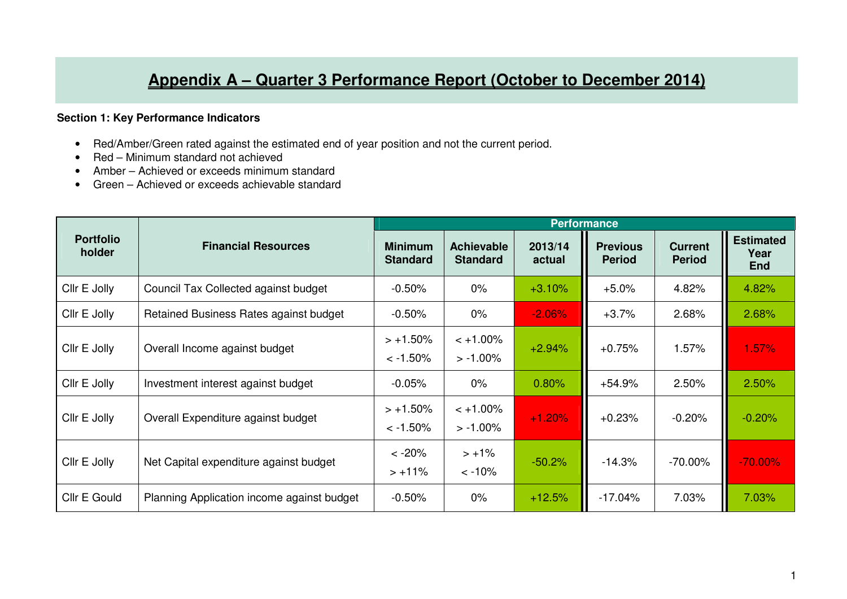## **Appendix A – Quarter 3 Performance Report (October to December 2014)**

## **Section 1: Key Performance Indicators**

- Red/Amber/Green rated against the estimated end of year position and not the current period.
- Red Minimum standard not achieved
- Amber Achieved or exceeds minimum standard
- Green Achieved or exceeds achievable standard

|                            |                                            | <b>Performance</b>                |                                      |                   |                                  |                                 |                                        |  |
|----------------------------|--------------------------------------------|-----------------------------------|--------------------------------------|-------------------|----------------------------------|---------------------------------|----------------------------------------|--|
| <b>Portfolio</b><br>holder | <b>Financial Resources</b>                 | <b>Minimum</b><br><b>Standard</b> | <b>Achievable</b><br><b>Standard</b> | 2013/14<br>actual | <b>Previous</b><br><b>Period</b> | <b>Current</b><br><b>Period</b> | <b>Estimated</b><br>Year<br><b>End</b> |  |
| Cllr E Jolly               | Council Tax Collected against budget       | $-0.50%$                          | $0\%$                                | $+3.10%$          | $+5.0%$                          | 4.82%                           | 4.82%                                  |  |
| Cllr E Jolly               | Retained Business Rates against budget     | $-0.50%$                          | $0\%$                                | $-2.06%$          | $+3.7%$                          | 2.68%                           | 2.68%                                  |  |
| Cllr E Jolly               | Overall Income against budget              | $> +1.50\%$<br>$< -1.50\%$        | $< +1.00\%$<br>$> -1.00\%$           | $+2.94%$          | $+0.75%$                         | 1.57%                           | 1.57%                                  |  |
| Cllr E Jolly               | Investment interest against budget         | $-0.05%$                          | $0\%$                                | 0.80%             | $+54.9%$                         | 2.50%                           | 2.50%                                  |  |
| Cllr E Jolly               | Overall Expenditure against budget         | $> +1.50%$<br>$< -1.50\%$         | $< +1.00\%$<br>$> -1.00\%$           | $+1.20%$          | $+0.23%$                         | $-0.20%$                        | $-0.20%$                               |  |
| Cllr E Jolly               | Net Capital expenditure against budget     | $< -20%$<br>$> +11\%$             | $> +1\%$<br>$< -10%$                 | $-50.2%$          | $-14.3%$                         | $-70.00\%$                      | $-70.00\%$                             |  |
| Cllr E Gould               | Planning Application income against budget | $-0.50%$                          | $0\%$                                | $+12.5%$          | $-17.04%$                        | 7.03%                           | 7.03%                                  |  |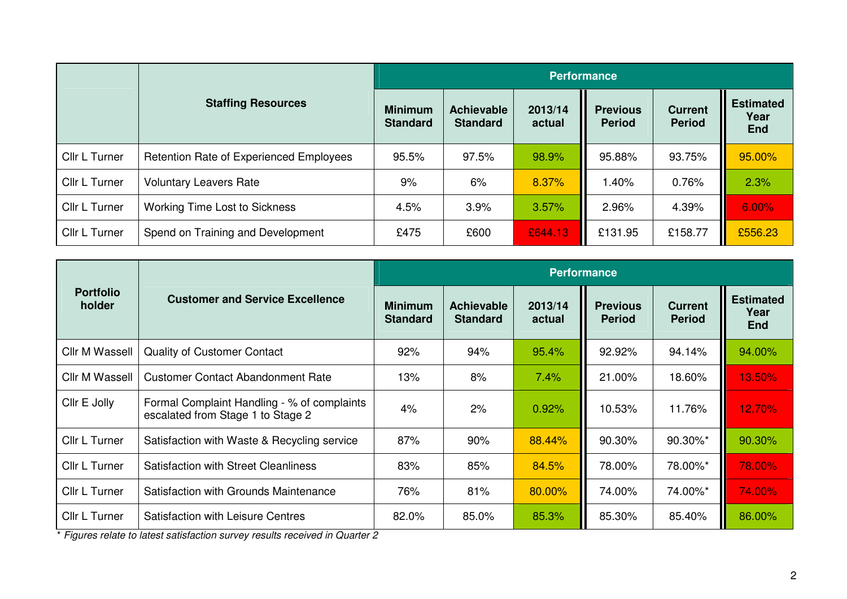|               |                                                | <b>Performance</b>                |                                      |                   |                                  |                                 |                                        |  |
|---------------|------------------------------------------------|-----------------------------------|--------------------------------------|-------------------|----------------------------------|---------------------------------|----------------------------------------|--|
|               | <b>Staffing Resources</b>                      | <b>Minimum</b><br><b>Standard</b> | <b>Achievable</b><br><b>Standard</b> | 2013/14<br>actual | <b>Previous</b><br><b>Period</b> | <b>Current</b><br><b>Period</b> | <b>Estimated</b><br>Year<br><b>End</b> |  |
| Cllr L Turner | <b>Retention Rate of Experienced Employees</b> | 95.5%                             | 97.5%                                | 98.9%             | 95.88%                           | 93.75%                          | 95.00%                                 |  |
| Cllr L Turner | <b>Voluntary Leavers Rate</b>                  | 9%                                | 6%                                   | 8.37%             | 1.40%                            | 0.76%                           | 2.3%                                   |  |
| Cllr L Turner | <b>Working Time Lost to Sickness</b>           | 4.5%                              | 3.9%                                 | 3.57%             | 2.96%                            | 4.39%                           | 6.00%                                  |  |
| Cllr L Turner | Spend on Training and Development              | £475                              | £600                                 | £644.13           | £131.95                          | £158.77                         | £556.23                                |  |

|                            |                                                                                  | <b>Performance</b>                |                                      |                   |                                  |                                 |                                        |  |
|----------------------------|----------------------------------------------------------------------------------|-----------------------------------|--------------------------------------|-------------------|----------------------------------|---------------------------------|----------------------------------------|--|
| <b>Portfolio</b><br>holder | <b>Customer and Service Excellence</b>                                           | <b>Minimum</b><br><b>Standard</b> | <b>Achievable</b><br><b>Standard</b> | 2013/14<br>actual | <b>Previous</b><br><b>Period</b> | <b>Current</b><br><b>Period</b> | <b>Estimated</b><br>Year<br><b>End</b> |  |
| <b>Cllr M Wassell</b>      | <b>Quality of Customer Contact</b>                                               | 92%                               | 94%                                  | 95.4%             | 92.92%                           | 94.14%                          | 94.00%                                 |  |
| <b>Cllr M Wassell</b>      | <b>Customer Contact Abandonment Rate</b>                                         | 13%                               | 8%                                   | 7.4%              | 21.00%                           | 18.60%                          | 13.50%                                 |  |
| Cllr E Jolly               | Formal Complaint Handling - % of complaints<br>escalated from Stage 1 to Stage 2 | 4%                                | 2%                                   | 0.92%             | 10.53%                           | 11.76%                          | 12.70%                                 |  |
| Cllr L Turner              | Satisfaction with Waste & Recycling service                                      | 87%                               | 90%                                  | 88.44%            | 90.30%                           | 90.30%*                         | 90.30%                                 |  |
| Cllr L Turner              | <b>Satisfaction with Street Cleanliness</b>                                      | 83%                               | 85%                                  | 84.5%             | 78.00%                           | 78.00%*                         | 78.00%                                 |  |
| Cllr L Turner              | Satisfaction with Grounds Maintenance                                            | 76%                               | 81%                                  | 80.00%            | 74.00%                           | 74.00%*                         | 74.00%                                 |  |
| Cllr L Turner              | <b>Satisfaction with Leisure Centres</b>                                         | 82.0%                             | 85.0%                                | 85.3%             | 85.30%                           | 85.40%                          | 86.00%                                 |  |

\* Figures relate to latest satisfaction survey results received in Quarter 2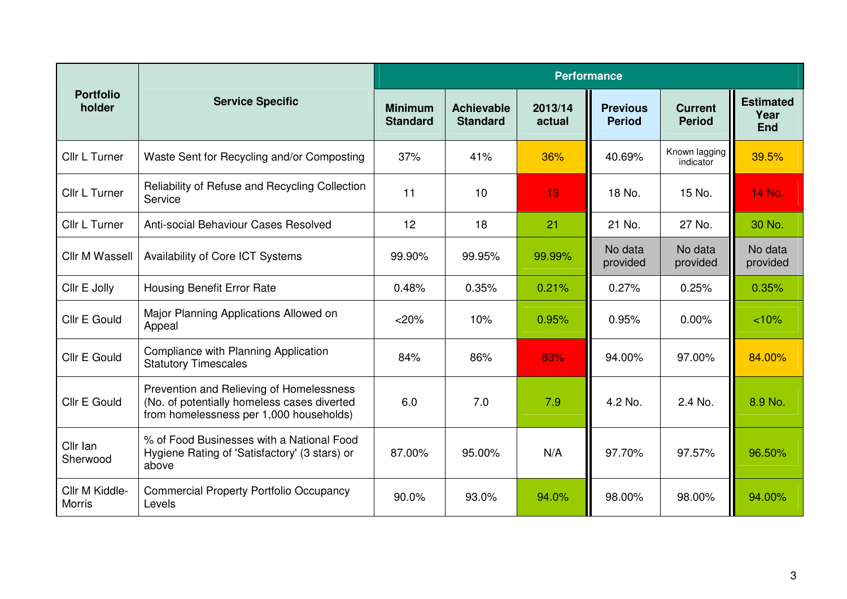|                                 |                                                                                                                                    | <b>Performance</b>                |                                      |                   |                                  |                                 |                                        |
|---------------------------------|------------------------------------------------------------------------------------------------------------------------------------|-----------------------------------|--------------------------------------|-------------------|----------------------------------|---------------------------------|----------------------------------------|
| <b>Portfolio</b><br>holder      | <b>Service Specific</b>                                                                                                            | <b>Minimum</b><br><b>Standard</b> | <b>Achievable</b><br><b>Standard</b> | 2013/14<br>actual | <b>Previous</b><br><b>Period</b> | <b>Current</b><br><b>Period</b> | <b>Estimated</b><br>Year<br><b>End</b> |
| Cllr L Turner                   | Waste Sent for Recycling and/or Composting                                                                                         | 37%                               | 41%                                  | 36%               | 40.69%                           | Known lagging<br>indicator      | 39.5%                                  |
| Cllr L Turner                   | Reliability of Refuse and Recycling Collection<br>Service                                                                          | 11                                | 10                                   | 13                | 18 No.                           | 15 No.                          | 14 No.                                 |
| Cllr L Turner                   | Anti-social Behaviour Cases Resolved                                                                                               | 12                                | 18                                   | 21                | 21 No.                           | 27 No.                          | 30 No.                                 |
| <b>Cllr M Wassell</b>           | Availability of Core ICT Systems                                                                                                   | 99.90%                            | 99.95%                               | 99.99%            | No data<br>provided              | No data<br>provided             | No data<br>provided                    |
| Cllr E Jolly                    | <b>Housing Benefit Error Rate</b>                                                                                                  | 0.48%                             | 0.35%                                | 0.21%             | 0.27%                            | 0.25%                           | 0.35%                                  |
| Cllr E Gould                    | Major Planning Applications Allowed on<br>Appeal                                                                                   | $<$ 20%                           | 10%                                  | 0.95%             | 0.95%                            | $0.00\%$                        | < 10%                                  |
| Cllr E Gould                    | Compliance with Planning Application<br><b>Statutory Timescales</b>                                                                | 84%                               | 86%                                  | 83%               | 94.00%                           | 97.00%                          | 84.00%                                 |
| Cllr E Gould                    | Prevention and Relieving of Homelessness<br>(No. of potentially homeless cases diverted<br>from homelessness per 1,000 households) | 6.0                               | 7.0                                  | 7.9               | 4.2 No.                          | 2.4 No.                         | 8.9 No.                                |
| Cllr Ian<br>Sherwood            | % of Food Businesses with a National Food<br>Hygiene Rating of 'Satisfactory' (3 stars) or<br>above                                | 87.00%                            | 95.00%                               | N/A               | 97.70%                           | 97.57%                          | 96.50%                                 |
| Cllr M Kiddle-<br><b>Morris</b> | <b>Commercial Property Portfolio Occupancy</b><br>Levels                                                                           | 90.0%                             | 93.0%                                | 94.0%             | 98.00%                           | 98.00%                          | 94.00%                                 |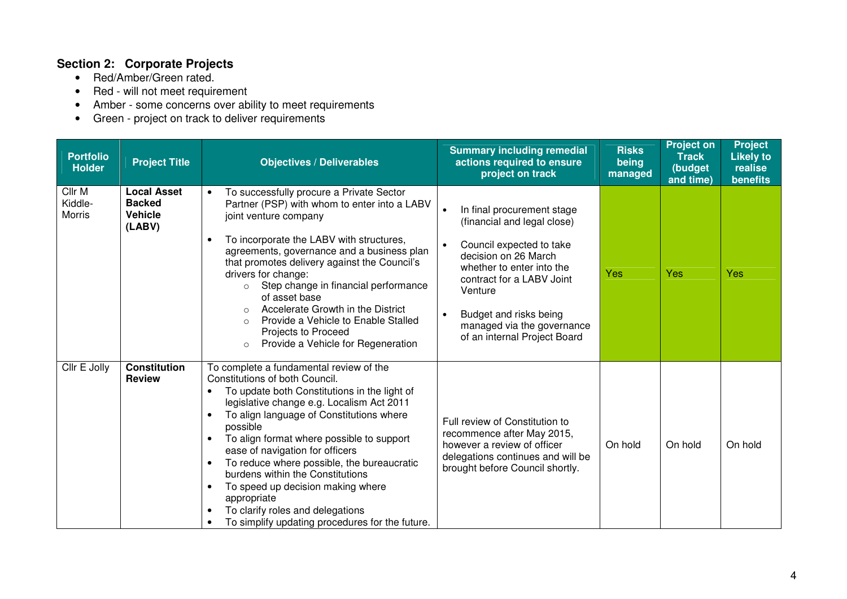## **Section 2: Corporate Projects**

- Red/Amber/Green rated.
- Red will not meet requirement
- Amber some concerns over ability to meet requirements Green project on track to deliver requirements
- 

| <b>Portfolio</b><br><b>Holder</b>  | <b>Project Title</b>                                            | <b>Objectives / Deliverables</b>                                                                                                                                                                                                                                                                                                                                                                                                                                                                                                                                                   | <b>Summary including remedial</b><br>actions required to ensure<br>project on track                                                                                                                                                                                                                  | <b>Risks</b><br>being<br>managed | <b>Project on</b><br><b>Track</b><br>(budget<br>and time) | <b>Project</b><br><b>Likely to</b><br>realise<br><b>benefits</b> |
|------------------------------------|-----------------------------------------------------------------|------------------------------------------------------------------------------------------------------------------------------------------------------------------------------------------------------------------------------------------------------------------------------------------------------------------------------------------------------------------------------------------------------------------------------------------------------------------------------------------------------------------------------------------------------------------------------------|------------------------------------------------------------------------------------------------------------------------------------------------------------------------------------------------------------------------------------------------------------------------------------------------------|----------------------------------|-----------------------------------------------------------|------------------------------------------------------------------|
| Cllr M<br>Kiddle-<br><b>Morris</b> | <b>Local Asset</b><br><b>Backed</b><br><b>Vehicle</b><br>(LABV) | To successfully procure a Private Sector<br>$\bullet$<br>Partner (PSP) with whom to enter into a LABV<br>joint venture company<br>To incorporate the LABV with structures,<br>agreements, governance and a business plan<br>that promotes delivery against the Council's<br>drivers for change:<br>Step change in financial performance<br>$\circ$<br>of asset base<br>Accelerate Growth in the District<br>$\circ$<br>Provide a Vehicle to Enable Stalled<br>$\circ$<br>Projects to Proceed<br>Provide a Vehicle for Regeneration<br>$\circ$                                      | In final procurement stage<br>$\bullet$<br>(financial and legal close)<br>Council expected to take<br>$\bullet$<br>decision on 26 March<br>whether to enter into the<br>contract for a LABV Joint<br>Venture<br>Budget and risks being<br>managed via the governance<br>of an internal Project Board | Yes                              | Yes                                                       | Yes                                                              |
| Cllr E Jolly                       | <b>Constitution</b><br><b>Review</b>                            | To complete a fundamental review of the<br>Constitutions of both Council.<br>To update both Constitutions in the light of<br>legislative change e.g. Localism Act 2011<br>To align language of Constitutions where<br>possible<br>To align format where possible to support<br>$\bullet$<br>ease of navigation for officers<br>To reduce where possible, the bureaucratic<br>$\bullet$<br>burdens within the Constitutions<br>To speed up decision making where<br>$\bullet$<br>appropriate<br>To clarify roles and delegations<br>To simplify updating procedures for the future. | Full review of Constitution to<br>recommence after May 2015,<br>however a review of officer<br>delegations continues and will be<br>brought before Council shortly.                                                                                                                                  | On hold                          | On hold                                                   | On hold                                                          |